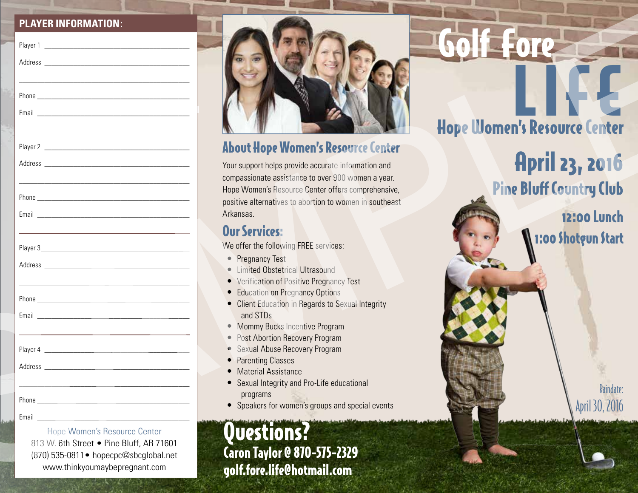#### **PLAYER INFORMATION:**

| <b>PLAYER INFORMATION:</b>                                              |                                                                                                               |                                     |
|-------------------------------------------------------------------------|---------------------------------------------------------------------------------------------------------------|-------------------------------------|
|                                                                         |                                                                                                               |                                     |
|                                                                         |                                                                                                               |                                     |
|                                                                         |                                                                                                               |                                     |
|                                                                         |                                                                                                               |                                     |
|                                                                         |                                                                                                               |                                     |
|                                                                         |                                                                                                               | <b>Hope Women's Resource Center</b> |
|                                                                         |                                                                                                               |                                     |
|                                                                         | <b>About Hope Women's Resource Center</b>                                                                     |                                     |
|                                                                         | Your support helps provide accurate information and                                                           | <b>April 23, 2016</b>               |
|                                                                         | compassionate assistance to over 900 women a year.                                                            | <b>Pine Bluff Country Club</b>      |
|                                                                         | Hope Women's Resource Center offers comprehensive,<br>positive alternatives to abortion to women in southeast |                                     |
|                                                                         | Arkansas.                                                                                                     | <b>12:00 Lunch</b>                  |
|                                                                         | <b>Our Services:</b>                                                                                          |                                     |
|                                                                         | We offer the following FREE services:                                                                         | 1:00 Shotgun Start                  |
|                                                                         | • Pregnancy Test                                                                                              |                                     |
|                                                                         | • Limited Obstetrical Ultrasound                                                                              |                                     |
|                                                                         | • Verification of Positive Pregnancy Test<br>• Education on Pregnancy Options                                 |                                     |
|                                                                         | • Client Education in Regards to Sexual Integrity                                                             |                                     |
|                                                                         | and STDs<br>• Mommy Bucks Incentive Program                                                                   |                                     |
|                                                                         | • Post Abortion Recovery Program                                                                              |                                     |
|                                                                         | • Sexual Abuse Recovery Program                                                                               |                                     |
| Address                                                                 | • Parenting Classes<br>• Material Assistance                                                                  |                                     |
|                                                                         | • Sexual Integrity and Pro-Life educational                                                                   | Raindate:                           |
| Phone                                                                   | programs<br>• Speakers for women's groups and special events                                                  |                                     |
| Email                                                                   |                                                                                                               | April 30, 2016                      |
| Hope Women's Resource Center                                            | Questions?                                                                                                    |                                     |
| 813 W. 6th Street . Pine Bluff, AR 71601                                | Caron Taylor @ 870-575-2329                                                                                   |                                     |
| (870) 535-0811 • hopecpc@sbcglobal.net<br>www.thinkyoumaybepregnant.com |                                                                                                               |                                     |
|                                                                         | golf.fore.life@hotmail.com                                                                                    |                                     |



## About Hope Women's Resource Center

### Our Services:

- Pregnancy Test
- Limited Obstetrical Ultrasound
- Verification of Positive Pregnancy Test
- Education on Pregnancy Options
- Client Education in Regards to Sexual Integrity and STDs
- Mommy Bucks Incentive Program
- Post Abortion Recovery Program
- Sexual Abuse Recovery Program
- Parenting Classes
- Material Assistance
- Sexual Integrity and Pro-Life educational programs
- Speakers for women's groups and special events

# Golf Fore

## LIFE Hope Women's Resource Center

## 12:00 Lunch 1:00 Shotgun Start